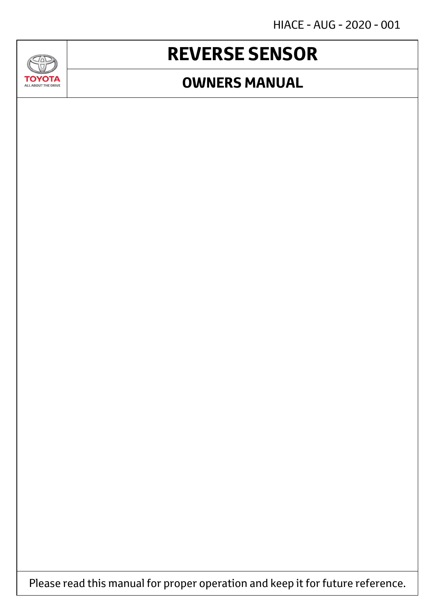HIACE - AUG - 2020 - 001

## **REVERSE SENSOR**

**SAD** 

**TOYOTA** ALL ABOUT THE DRIVE

#### **OWNERS MANUAL**

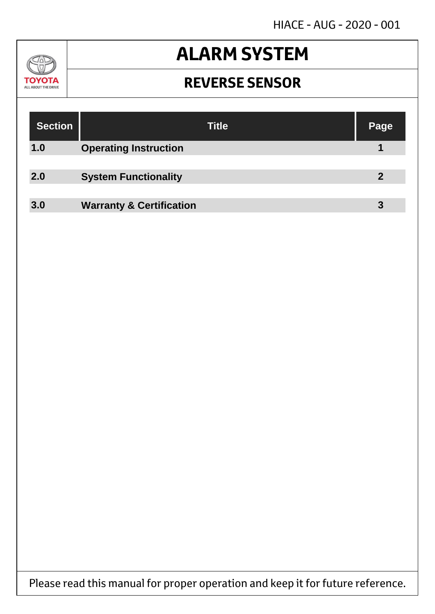HIACE - AUG - 2020 - 001

#### $\mathcal{U}$ **TOYOTA** ALL ABOUT THE DRIVE

## **ALARM SYSTEM**

#### **REVERSE SENSOR**

| <b>Section</b> | <b>Title</b>                        | Page        |
|----------------|-------------------------------------|-------------|
| 1.0            | <b>Operating Instruction</b>        |             |
|                |                                     |             |
| 2.0            | <b>System Functionality</b>         | $\mathbf 2$ |
|                |                                     |             |
| 3.0            | <b>Warranty &amp; Certification</b> | 3           |

Please read this manual for proper operation and keep it for future reference.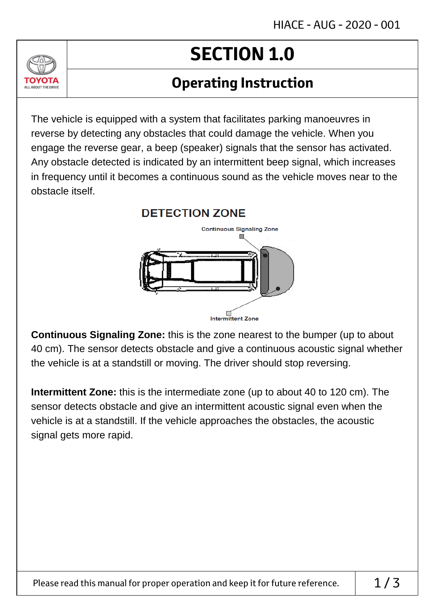# **SECTION 1.0**

### **Operating Instruction**

The vehicle is equipped with a system that facilitates parking manoeuvres in reverse by detecting any obstacles that could damage the vehicle. When you engage the reverse gear, a beep (speaker) signals that the sensor has activated. Any obstacle detected is indicated by an intermittent beep signal, which increases in frequency until it becomes a continuous sound as the vehicle moves near to the obstacle itself.

ALL ABOUT THE DRIVE



**Continuous Signaling Zone:** this is the zone nearest to the bumper (up to about 40 cm). The sensor detects obstacle and give a continuous acoustic signal whether the vehicle is at a standstill or moving. The driver should stop reversing.

**Intermittent Zone:** this is the intermediate zone (up to about 40 to 120 cm). The sensor detects obstacle and give an intermittent acoustic signal even when the vehicle is at a standstill. If the vehicle approaches the obstacles, the acoustic signal gets more rapid.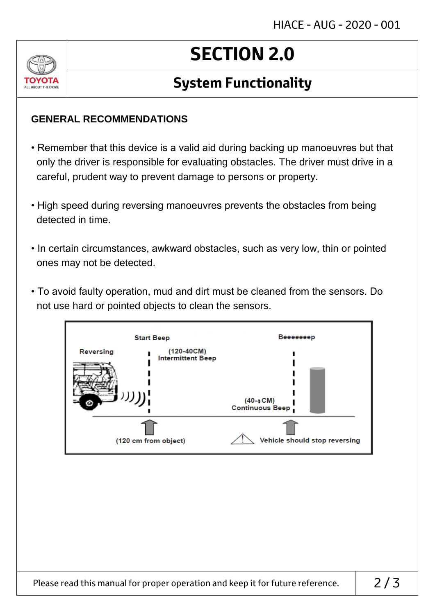

## **SECTION 2.0**

### **System Functionality**

#### **GENERAL RECOMMENDATIONS**

- Remember that this device is a valid aid during backing up manoeuvres but that only the driver is responsible for evaluating obstacles. The driver must drive in a careful, prudent way to prevent damage to persons or property.
- High speed during reversing manoeuvres prevents the obstacles from being detected in time.
- In certain circumstances, awkward obstacles, such as very low, thin or pointed ones may not be detected.
- To avoid faulty operation, mud and dirt must be cleaned from the sensors. Do not use hard or pointed objects to clean the sensors.